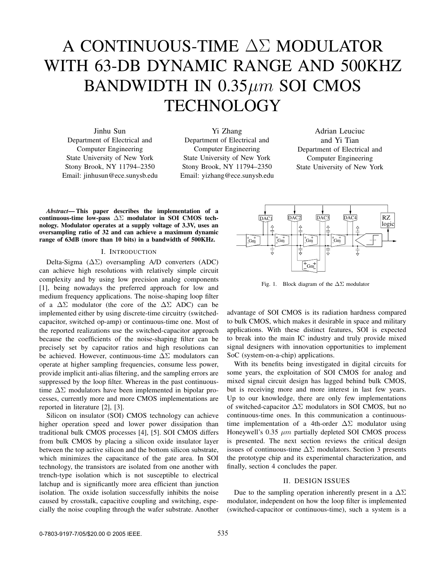# A CONTINUOUS-TIME ∆Σ MODULATOR WITH 63-DB DYNAMIC RANGE AND 500KHZ BANDWIDTH IN  $0.35 \mu m$  SOI CMOS **TECHNOLOGY**

Jinhu Sun Department of Electrical and Computer Engineering State University of New York Stony Brook, NY 11794–2350 Email: jinhusun@ece.sunysb.edu

Yi Zhang Department of Electrical and Computer Engineering State University of New York Stony Brook, NY 11794–2350 Email: yizhang@ece.sunysb.edu

Adrian Leuciuc and Yi Tian Department of Electrical and Computer Engineering State University of New York

*Abstract***— This paper describes the implementation of a continuous-time low-pass** ∆Σ **modulator in SOI CMOS technology. Modulator operates at a supply voltage of 3.3V, uses an oversampling ratio of 32 and can achieve a maximum dynamic range of 63dB (more than 10 bits) in a bandwidth of 500KHz.**

# I. INTRODUCTION

Delta-Sigma (∆Σ) oversampling A/D converters (ADC) can achieve high resolutions with relatively simple circuit complexity and by using low precision analog components [1], being nowadays the preferred approach for low and medium frequency applications. The noise-shaping loop filter of a  $\Delta\Sigma$  modulator (the core of the  $\Delta\Sigma$  ADC) can be implemented either by using discrete-time circuitry (switchedcapacitor, switched op-amp) or continuous-time one. Most of the reported realizations use the switched-capacitor approach because the coefficients of the noise-shaping filter can be precisely set by capacitor ratios and high resolutions can be achieved. However, continuous-time ∆Σ modulators can operate at higher sampling frequencies, consume less power, provide implicit anti-alias filtering, and the sampling errors are suppressed by the loop filter. Whereas in the past continuoustime  $\Delta\Sigma$  modulators have been implemented in bipolar processes, currently more and more CMOS implementations are reported in literature [2], [3].

Silicon on insulator (SOI) CMOS technology can achieve higher operation speed and lower power dissipation than traditional bulk CMOS processes [4], [5]. SOI CMOS differs from bulk CMOS by placing a silicon oxide insulator layer between the top active silicon and the bottom silicon substrate, which minimizes the capacitance of the gate area. In SOI technology, the transistors are isolated from one another with trench-type isolation which is not susceptible to electrical latchup and is significantly more area efficient than junction isolation. The oxide isolation successfully inhibits the noise caused by crosstalk, capacitive coupling and switching, especially the noise coupling through the wafer substrate. Another



Fig. 1. Block diagram of the ∆Σ modulator

advantage of SOI CMOS is its radiation hardness compared to bulk CMOS, which makes it desirable in space and military applications. With these distinct features, SOI is expected to break into the main IC industry and truly provide mixed signal designers with innovation opportunities to implement SoC (system-on-a-chip) applications.

With its benefits being investigated in digital circuits for some years, the exploitation of SOI CMOS for analog and mixed signal circuit design has lagged behind bulk CMOS, but is receiving more and more interest in last few years. Up to our knowledge, there are only few implementations of switched-capacitor  $\Delta \Sigma$  modulators in SOI CMOS, but no continuous-time ones. In this communication a continuoustime implementation of a 4th-order  $\Delta\Sigma$  modulator using Honeywell's  $0.35 \mu m$  partially depleted SOI CMOS process is presented. The next section reviews the critical design issues of continuous-time  $\Delta\Sigma$  modulators. Section 3 presents the prototype chip and its experimental characterization, and finally, section 4 concludes the paper.

# II. DESIGN ISSUES

Due to the sampling operation inherently present in a  $\Delta\Sigma$ modulator, independent on how the loop filter is implemented (switched-capacitor or continuous-time), such a system is a

0-7803-9197-7/05/\$20.00 © 2005 IEEE. 535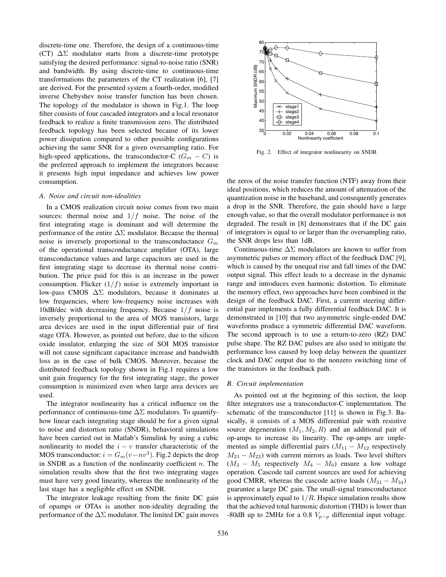discrete-time one. Therefore, the design of a continuous-time (CT)  $\Delta\Sigma$  modulator starts from a discrete-time prototype satisfying the desired performance: signal-to-noise ratio (SNR) and bandwidth. By using discrete-time to continuous-time transformations the parameters of the CT realization [6], [7] are derived. For the presented system a fourth-order, modified inverse Chebyshev noise transfer function has been chosen. The topology of the modulator is shown in Fig.1. The loop filter consists of four cascaded integrators and a local resonator feedback to realize a finite transmission zero. The distributed feedback topology has been selected because of its lower power dissipation compared to other possible configurations achieving the same SNR for a given oversampling ratio. For high-speed applications, the transconductor-C ( $G_m - C$ ) is the preferred approach to implement the integrators because it presents high input impedance and achieves low power consumption.

## *A. Noise and circuit non-idealities*

In a CMOS realization circuit noise comes from two main sources: thermal noise and  $1/f$  noise. The noise of the first integrating stage is dominant and will determine the performance of the entire  $\Delta\Sigma$  modulator. Because the thermal noise is inversely proportional to the transconductance  $G_m$ of the operational transconductance amplifier (OTA), large transconductance values and large capacitors are used in the first integrating stage to decrease its thermal noise contribution. The price paid for this is an increase in the power consumption. Flicker  $(1/f)$  noise is extremely important in low-pass CMOS ∆Σ modulators, because it dominates at low frequencies, where low-frequency noise increases with 10dB/dec with decreasing frequency. Because  $1/f$  noise is inversely proportional to the area of MOS transistors, large area devices are used in the input differential pair of first stage OTA. However, as pointed out before, due to the silicon oxide insulator, enlarging the size of SOI MOS transistor will not cause significant capacitance increase and bandwidth loss as in the case of bulk CMOS. Moreover, because the distributed feedback topology shown in Fig.1 requires a low unit gain frequency for the first integrating stage, the power consumption is minimized even when large area devices are used.

The integrator nonlinearity has a critical influence on the performance of continuous-time  $\Delta\Sigma$  modulators. To quantifyhow linear each integrating stage should be for a given signal to noise and distortion ratio (SNDR), behavioral simulations have been carried out in Matlab's Simulink by using a cubic nonlinearity to model the <sup>i</sup> *<sup>−</sup>* <sup>v</sup> transfer characteristic of the MOS transconductor:  $i = G_m(v - nv^3)$ . Fig.2 depicts the drop in SNDR as a function of the nonlinearity coefficient  $n$ . The simulation results show that the first two integrating stages must have very good linearity, whereas the nonlinearity of the last stage has a negligible effect on SNDR.

The integrator leakage resulting from the finite DC gain of opamps or OTAs is another non-ideality degrading the performance of the  $\Delta\Sigma$  modulator. The limited DC gain moves



Fig. 2. Effect of integrator nonlinearity on SNDR

the zeros of the noise transfer function (NTF) away from their ideal positions, which reduces the amount of attenuation of the quantization noise in the baseband, and consequently generates a drop in the SNR. Therefore, the gain should have a large enough value, so that the overall modulator performance is not degraded. The result in [8] demonstrates that if the DC gain of integrators is equal to or larger than the oversampling ratio, the SNR drops less than 1dB.

Continuous-time  $\Delta\Sigma$  modulators are known to suffer from asymmetric pulses or memory effect of the feedback DAC [9], which is caused by the unequal rise and fall times of the DAC output signal. This effect leads to a decrease in the dynamic range and introduces even harmonic distortion. To eliminate the memory effect, two approaches have been combined in the design of the feedback DAC. First, a current steering differential pair implements a fully differential feedback DAC. It is demonstrated in [10] that two asymmetric single-ended DAC waveforms produce a symmetric differential DAC waveform. The second approach is to use a return-to-zero (RZ) DAC pulse shape. The RZ DAC pulses are also used to mitigate the performance loss caused by loop delay between the quantizer clock and DAC output due to the nonzero switching time of the transistors in the feedback path.

#### *B. Circuit implementation*

As pointed out at the beginning of this section, the loop filter integrators use a transconductor-C implementation. The schematic of the transconductor [11] is shown in Fig.3. Basically, it consists of a MOS differential pair with resistive source degeneration  $(M_1, M_2, R)$  and an additional pair of op-amps to increase its linearity. The op-amps are implemented as simple differential pairs  $(M_{11} - M_{12})$  respectively  $M_{21}$  −  $M_{22}$ ) with current mirrors as loads. Two level shifters (M<sup>3</sup> *<sup>−</sup>* <sup>M</sup><sup>5</sup> respectively <sup>M</sup><sup>4</sup> *<sup>−</sup>* <sup>M</sup>6) ensure a low voltage operation. Cascode tail current sources are used for achieving good CMRR, whereas the cascode active loads (M<sup>31</sup> *<sup>−</sup>* <sup>M</sup>34) guarantee a large DC gain. The small-signal transconductance is approximately equal to  $1/R$ . Hspice simulation results show that the achieved total harmonic distortion (THD) is lower than -80dB up to 2MHz for a 0.8  $V_{p-p}$  differential input voltage.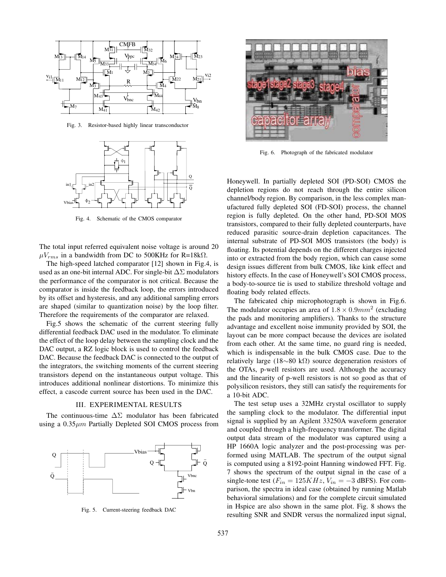

Fig. 3. Resistor-based highly linear transconductor



Fig. 4. Schematic of the CMOS comparator

The total input referred equivalent noise voltage is around 20  $\mu V_{rms}$  in a bandwidth from DC to 500KHz for R=18kΩ.

The high-speed latched comparator [12] shown in Fig.4, is used as an one-bit internal ADC. For single-bit  $\Delta\Sigma$  modulators the performance of the comparator is not critical. Because the comparator is inside the feedback loop, the errors introduced by its offset and hysteresis, and any additional sampling errors are shaped (similar to quantization noise) by the loop filter. Therefore the requirements of the comparator are relaxed.

Fig.5 shows the schematic of the current steering fully differential feedback DAC used in the modulator. To eliminate the effect of the loop delay between the sampling clock and the DAC output, a RZ logic block is used to control the feedback DAC. Because the feedback DAC is connected to the output of the integrators, the switching moments of the current steering transistors depend on the instantaneous output voltage. This introduces additional nonlinear distortions. To minimize this effect, a cascode current source has been used in the DAC.

## III. EXPERIMENTAL RESULTS

The continuous-time  $\Delta\Sigma$  modulator has been fabricated using a  $0.35 \mu m$  Partially Depleted SOI CMOS process from



Fig. 5. Current-steering feedback DAC



Fig. 6. Photograph of the fabricated modulator

Honeywell. In partially depleted SOI (PD-SOI) CMOS the depletion regions do not reach through the entire silicon channel/body region. By comparison, in the less complex manufactured fully depleted SOI (FD-SOI) process, the channel region is fully depleted. On the other hand, PD-SOI MOS transistors, compared to their fully depleted counterparts, have reduced parasitic source-drain depletion capacitances. The internal substrate of PD-SOI MOS transistors (the body) is floating. Its potential depends on the different charges injected into or extracted from the body region, which can cause some design issues different from bulk CMOS, like kink effect and history effects. In the case of Honeywell's SOI CMOS process, a body-to-source tie is used to stabilize threshold voltage and floating body related effects.

The fabricated chip microphotograph is shown in Fig.6. The modulator occupies an area of  $1.8 \times 0.9$ *mm*<sup>2</sup> (excluding the pads and monitoring amplifiers). Thanks to the structure advantage and excellent noise immunity provided by SOI, the layout can be more compact because the devices are isolated from each other. At the same time, no guard ring is needed, which is indispensable in the bulk CMOS case. Due to the relatively large (18*∼*80 kΩ) source degeneration resistors of the OTAs, p-well resistors are used. Although the accuracy and the linearity of p-well resistors is not so good as that of polysilicon resistors, they still can satisfy the requirements for a 10-bit ADC.

The test setup uses a 32MHz crystal oscillator to supply the sampling clock to the modulator. The differential input signal is supplied by an Agilent 33250A waveform generator and coupled through a high-frequency transformer. The digital output data stream of the modulator was captured using a HP 1660A logic analyzer and the post-processing was performed using MATLAB. The spectrum of the output signal is computed using a 8192-point Hanning windowed FFT. Fig. 7 shows the spectrum of the output signal in the case of a single-tone test ( $F_{in} = 125KHz$ ,  $V_{in} = -3$  dBFS). For comparison, the spectra in ideal case (obtained by running Matlab behavioral simulations) and for the complete circuit simulated in Hspice are also shown in the same plot. Fig. 8 shows the resulting SNR and SNDR versus the normalized input signal,